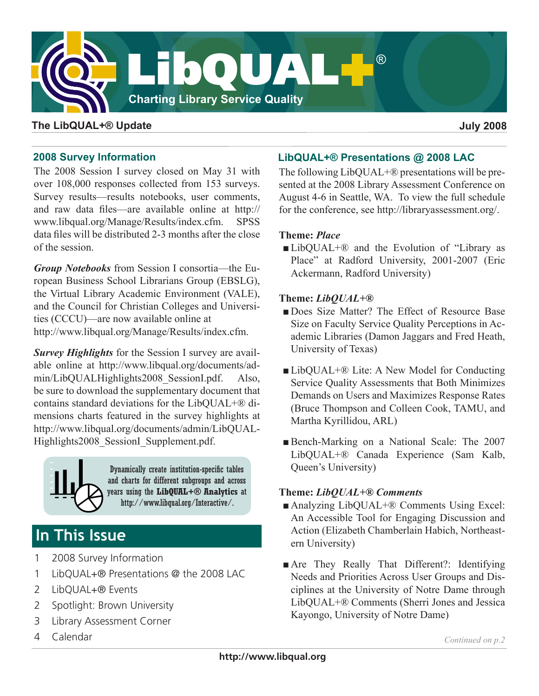

### **The LibQUAL+® Update July 2008**

### **2008 Survey Information**

The 2008 Session I survey closed on May 31 with over 108,000 responses collected from 153 surveys. Survey results—results notebooks, user comments, and raw data files—are available online at http:// www.libqual.org/Manage/Results/index.cfm. SPSS data files will be distributed 2-3 months after the close of the session.

*Group Notebooks* from Session I consortia—the European Business School Librarians Group (EBSLG), the Virtual Library Academic Environment (VALE), and the Council for Christian Colleges and Universities (CCCU)—are now available online at [http://www.libqual.org/Manage/Results/index.cf](http://old.libqual.org/Manage/Results/index.cfm)m.

*Survey Highlights* for the Session I survey are available online at [http://www.libqual.org/documents/ad](http://old.libqual.org/documents/admin/LibQUALHighlights2008_SessionI.pdf)[min/LibQUALHighlights2008\\_SessionI.pd](http://old.libqual.org/documents/admin/LibQUALHighlights2008_SessionI.pdf)f. Also, be sure to download the supplementary document that contains standard deviations for the LibQUAL+® dimensions charts featured in the survey highlights at [http://www.libqual.org/documents/admin/LibQUAL-](http://old.libqual.org/documents/admin/LibQUALHighlights2008_SessionI.pdf)Highlights2008 SessionI Supplement.pdf.



Dynamically create institution-specific tables and charts for different subgroups and across years using the **LibQUAL+® Analytics** at [http://www.libqual.org/Interactive/](http://old.libqual.org/Interactive/index.cfm).

# **In This Issue**

- 1 2008 Survey Information
- 1 LibQUAL+® Presentations @ the 2008 LAC
- 2 LibQUAL+® Events
- 2 Spotlight: Brown University
- 3 Library Assessment Corner
- 4 Calendar

## **LibQUAL+® Presentations @ 2008 LAC**

The following LibQUAL+® presentations will be presented at the 2008 Library Assessment Conference on August 4-6 in Seattle, WA. To view the full schedule for the conference, see [http://libraryassessment.org/](http://www.libraryassessment.org/).

### **Theme:** *Place*

■LibOUAL+<sup>®</sup> and the Evolution of "Library as Place" at Radford University, 2001-2007 (Eric Ackermann, Radford University)

#### **Theme:** *LibQUAL+®*

- Does Size Matter? The Effect of Resource Base Size on Faculty Service Quality Perceptions in Academic Libraries (Damon Jaggars and Fred Heath, University of Texas)
- ■LibQUAL+® Lite: A New Model for Conducting Service Quality Assessments that Both Minimizes Demands on Users and Maximizes Response Rates (Bruce Thompson and Colleen Cook, TAMU, and Martha Kyrillidou, ARL)
- ■Bench-Marking on a National Scale: The 2007 LibQUAL+® Canada Experience (Sam Kalb, Queen's University)

### **Theme:** *LibQUAL+® Comments*

- Analyzing LibQUAL+<sup>®</sup> Comments Using Excel: An Accessible Tool for Engaging Discussion and Action (Elizabeth Chamberlain Habich, Northeastern University)
- Are They Really That Different?: Identifying Needs and Priorities Across User Groups and Disciplines at the University of Notre Dame through LibQUAL+® Comments (Sherri Jones and Jessica Kayongo, University of Notre Dame)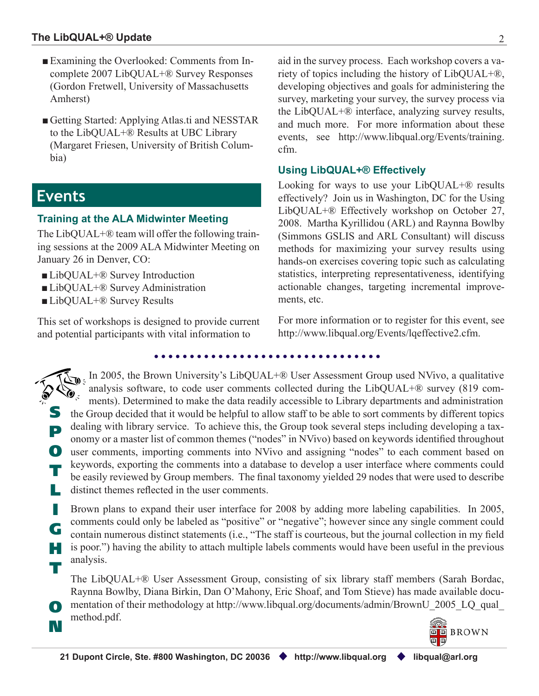- ■Examining the Overlooked: Comments from Incomplete 2007 LibQUAL+® Survey Responses (Gordon Fretwell, University of Massachusetts Amherst)
- Getting Started: Applying Atlas.ti and NESSTAR to the LibQUAL+® Results at UBC Library (Margaret Friesen, University of British Columbia)

## **Events**

G

T

O

N

## **Training at the ALA Midwinter Meeting**

The LibQUAL+® team will offer the following training sessions at the 2009 ALA Midwinter Meeting on January 26 in Denver, CO:

- ■LibQUAL+® Survey Introduction
- LibQUAL+® Survey Administration
- ■LibQUAL+® Survey Results

This set of workshops is designed to provide current and potential participants with vital information to

aid in the survey process. Each workshop covers a variety of topics including the history of LibQUAL+®, developing objectives and goals for administering the survey, marketing your survey, the survey process via the LibQUAL+® interface, analyzing survey results, and much more. For more information about these events, see [http://www.libqual.org/Events/training.](http://old.libqual.org/Events/training.cfm) [cfm.](http://old.libqual.org/Events/training.cfm)

## **Using LibQUAL+® Effectively**

Looking for ways to use your LibQUAL+® results effectively? Join us in Washington, DC for the Using LibQUAL+® Effectively workshop on October 27, 2008. Martha Kyrillidou (ARL) and Raynna Bowlby (Simmons GSLIS and ARL Consultant) will discuss methods for maximizing your survey results using hands-on exercises covering topic such as calculating statistics, interpreting representativeness, identifying actionable changes, targeting incremental improvements, etc.

For more information or to register for this event, see [http://www.libqual.org/Events/lqeffective2.cf](http://old.libqual.org/Events/lqeffective2.cfm)m.

S P O user comments, importing comments into NVivo and assigning "nodes" to each comment based on T L the Group decided that it would be helpful to allow staff to be able to sort comments by different topics dealing with library service. To achieve this, the Group took several steps including developing a taxonomy or a master list of common themes ("nodes" in NVivo) based on keywords identified throughout keywords, exporting the comments into a database to develop a user interface where comments could be easily reviewed by Group members. The final taxonomy yielded 29 nodes that were used to describe distinct themes reflected in the user comments. In 2005, the Brown University's LibQUAL+® User Assessment Group used [NViv](http://www.qsrinternational.com/)o, a qualitative analysis software, to code user comments collected during the LibQUAL+® survey (819 comments). Determined to make the data readily accessible to Library departments and administration

I H Brown plans to expand their user interface for 2008 by adding more labeling capabilities. In 2005, comments could only be labeled as "positive" or "negative"; however since any single comment could contain numerous distinct statements (i.e., "The staff is courteous, but the journal collection in my field is poor.") having the ability to attach multiple labels comments would have been useful in the previous analysis.

The LibQUAL+® User Assessment Group, consisting of six library staff members (Sarah Bordac, Raynna Bowlby, Diana Birkin, Dan O'Mahony, Eric Shoaf, and Tom Stieve) has made available documentation of their methodology at http://www.libqual.org/documents/admin/BrownU\_2005\_LQ\_qual\_ method.pdf.

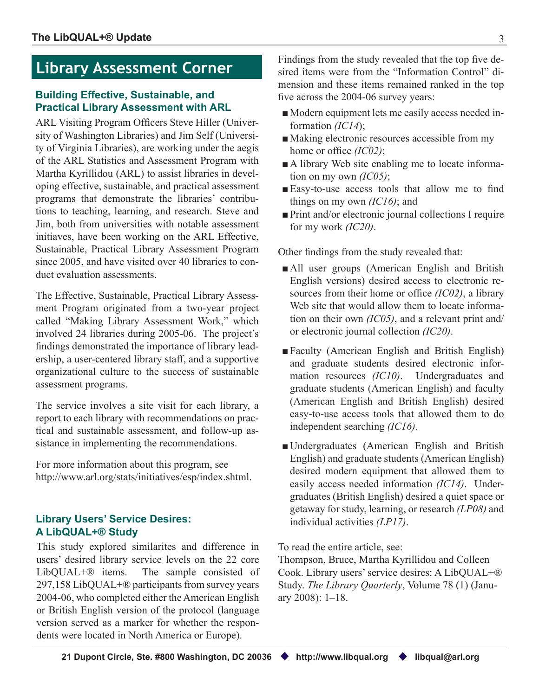## **Library Assessment Corner**

#### **Building Effective, Sustainable, and Practical Library Assessment with ARL**

ARL Visiting Program Officers Steve Hiller ([Univer](http://www.lib.washington.edu/)[sity of Washington Librarie](http://www.lib.washington.edu/)s) and Jim Self ([Universi](http://www.lib.virginia.edu/)[ty of Virginia Libraries\)](http://www.lib.virginia.edu/), are working under the aegis of the ARL Statistics and Assessment Program with Martha Kyrillidou (ARL) to assist libraries in developing effective, sustainable, and practical assessment programs that demonstrate the libraries' contributions to teaching, learning, and research. Steve and Jim, both from universities with notable assessment initiaves, have been working on the ARL Effective, Sustainable, Practical Library Assessment Program since 2005, and have visited over 40 libraries to conduct evaluation assessments.

The Effective, Sustainable, Practical Library Assessment Program originated from a two-year project called "Making Library Assessment Work," which involved 24 libraries during 2005-06. The project's findings demonstrated the importance of library leadership, a user-centered library staff, and a supportive organizational culture to the success of sustainable assessment programs.

The service involves a site visit for each library, a report to each library with recommendations on practical and sustainable assessment, and follow-up assistance in implementing the recommendations.

For more information about this program, see [http://www.arl.org/stats/initiatives/esp/index.shtm](http://www.arl.org/stats/initiatives/esp/index.shtml)l.

### **Library Users' Service Desires: A LibQUAL+® Study**

This study explored similarites and difference in users' desired library service levels on the 22 core LibQUAL+® items. The sample consisted of 297,158 LibQUAL+® participants from survey years 2004-06, who completed either the American English or British English version of the protocol (language version served as a marker for whether the respondents were located in North America or Europe).

Findings from the study revealed that the top five desired items were from the "Information Control" dimension and these items remained ranked in the top five across the 2004-06 survey years:

- ■Modern equipment lets me easily access needed information *(IC14*);
- Making electronic resources accessible from my home or office *(IC02)*;
- A library Web site enabling me to locate information on my own *(IC05)*;
- Easy-to-use access tools that allow me to find things on my own *(IC16)*; and
- Print and/or electronic journal collections I require for my work *(IC20)*.

Other findings from the study revealed that:

- All user groups (American English and British English versions) desired access to electronic resources from their home or office *(IC02)*, a library Web site that would allow them to locate information on their own *(IC05)*, and a relevant print and/ or electronic journal collection *(IC20)*.
- ■Faculty (American English and British English) and graduate students desired electronic information resources *(IC10)*. Undergraduates and graduate students (American English) and faculty (American English and British English) desired easy-to-use access tools that allowed them to do independent searching *(IC16)*.
- Undergraduates (American English and British English) and graduate students (American English) desired modern equipment that allowed them to easily access needed information *(IC14)*. Undergraduates (British English) desired a quiet space or getaway for study, learning, or research *(LP08)* and individual activities *(LP17)*.

To read the entire article, see:

Thompson, Bruce, Martha Kyrillidou and Colleen Cook. Library users' service desires: A LibQUAL+® Study. *The Library Quarterly*, Volume 78 (1) (January 2008): 1–18.